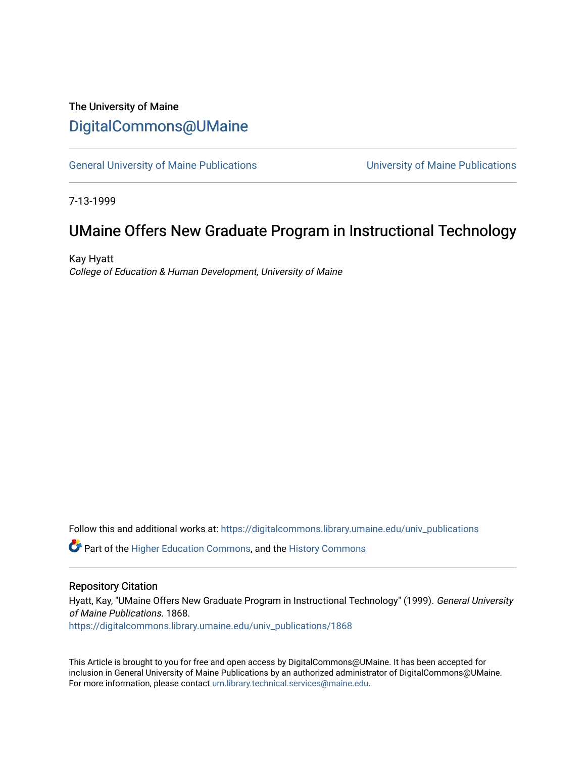## The University of Maine [DigitalCommons@UMaine](https://digitalcommons.library.umaine.edu/)

[General University of Maine Publications](https://digitalcommons.library.umaine.edu/univ_publications) [University of Maine Publications](https://digitalcommons.library.umaine.edu/umaine_publications) 

7-13-1999

## UMaine Offers New Graduate Program in Instructional Technology

Kay Hyatt College of Education & Human Development, University of Maine

Follow this and additional works at: [https://digitalcommons.library.umaine.edu/univ\\_publications](https://digitalcommons.library.umaine.edu/univ_publications?utm_source=digitalcommons.library.umaine.edu%2Funiv_publications%2F1868&utm_medium=PDF&utm_campaign=PDFCoverPages) 

**C** Part of the [Higher Education Commons,](http://network.bepress.com/hgg/discipline/1245?utm_source=digitalcommons.library.umaine.edu%2Funiv_publications%2F1868&utm_medium=PDF&utm_campaign=PDFCoverPages) and the [History Commons](http://network.bepress.com/hgg/discipline/489?utm_source=digitalcommons.library.umaine.edu%2Funiv_publications%2F1868&utm_medium=PDF&utm_campaign=PDFCoverPages)

#### Repository Citation

Hyatt, Kay, "UMaine Offers New Graduate Program in Instructional Technology" (1999). General University of Maine Publications. 1868.

[https://digitalcommons.library.umaine.edu/univ\\_publications/1868](https://digitalcommons.library.umaine.edu/univ_publications/1868?utm_source=digitalcommons.library.umaine.edu%2Funiv_publications%2F1868&utm_medium=PDF&utm_campaign=PDFCoverPages)

This Article is brought to you for free and open access by DigitalCommons@UMaine. It has been accepted for inclusion in General University of Maine Publications by an authorized administrator of DigitalCommons@UMaine. For more information, please contact [um.library.technical.services@maine.edu](mailto:um.library.technical.services@maine.edu).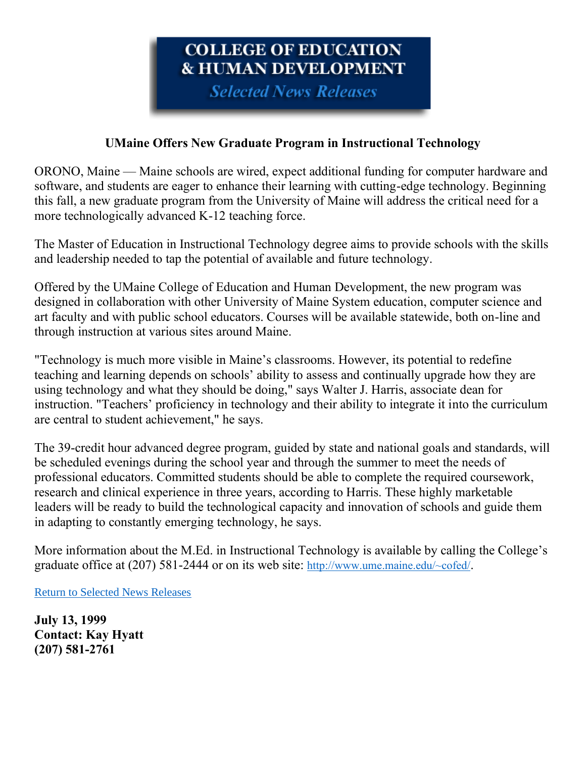# **COLLEGE OF EDUCATION & HUMAN DEVELOPMENT**

**Selected News Releases** 

### **UMaine Offers New Graduate Program in Instructional Technology**

ORONO, Maine — Maine schools are wired, expect additional funding for computer hardware and software, and students are eager to enhance their learning with cutting-edge technology. Beginning this fall, a new graduate program from the University of Maine will address the critical need for a more technologically advanced K-12 teaching force.

The Master of Education in Instructional Technology degree aims to provide schools with the skills and leadership needed to tap the potential of available and future technology.

Offered by the UMaine College of Education and Human Development, the new program was designed in collaboration with other University of Maine System education, computer science and art faculty and with public school educators. Courses will be available statewide, both on-line and through instruction at various sites around Maine.

"Technology is much more visible in Maine's classrooms. However, its potential to redefine teaching and learning depends on schools' ability to assess and continually upgrade how they are using technology and what they should be doing," says Walter J. Harris, associate dean for instruction. "Teachers' proficiency in technology and their ability to integrate it into the curriculum are central to student achievement," he says.

The 39-credit hour advanced degree program, guided by state and national goals and standards, will be scheduled evenings during the school year and through the summer to meet the needs of professional educators. Committed students should be able to complete the required coursework, research and clinical experience in three years, according to Harris. These highly marketable leaders will be ready to build the technological capacity and innovation of schools and guide them in adapting to constantly emerging technology, he says.

More information about the M.Ed. in Instructional Technology is available by calling the College's graduate office at (207) 581-2444 or on its web site: [http://www.ume.maine.edu/~cofed/](https://web.archive.org/web/20010119123500/http:/www.ume.maine.edu/~cofed/).

[Return to Selected News Releases](https://web.archive.org/web/19991114200527/http:/www.ume.maine.edu/~cofed/happen/selectnews.htm)

**July 13, 1999 Contact: Kay Hyatt (207) 581-2761**